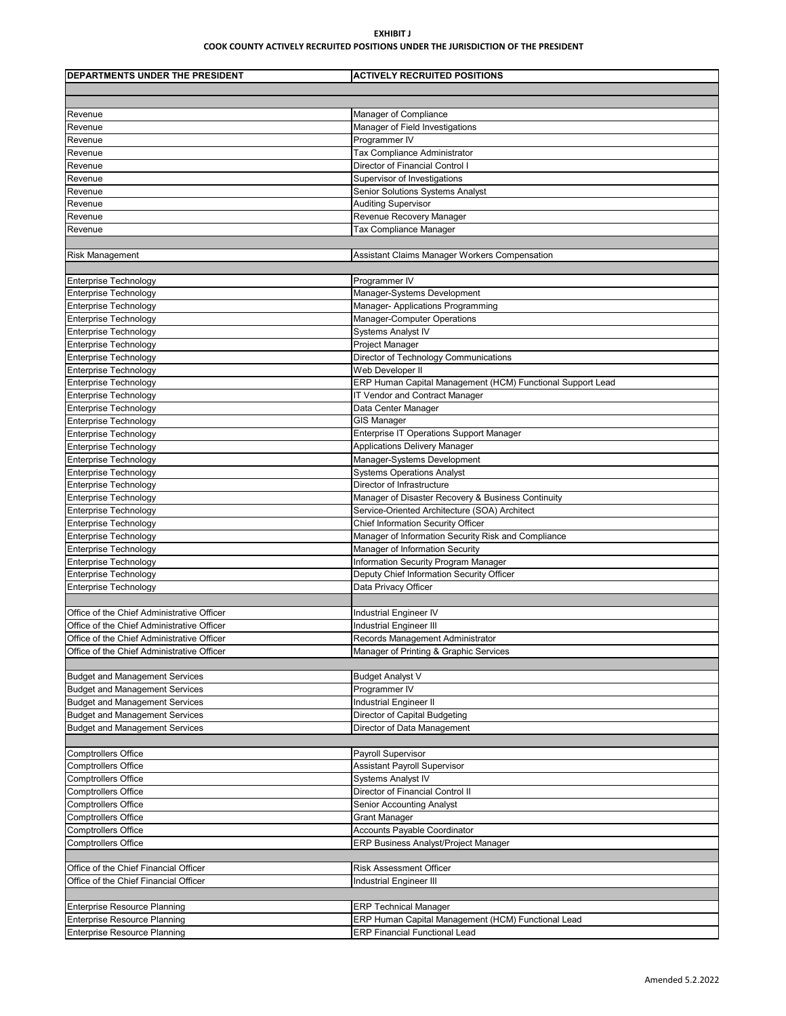## **EXHIBIT J COOK COUNTY ACTIVELY RECRUITED POSITIONS UNDER THE JURISDICTION OF THE PRESIDENT**

| DEPARTMENTS UNDER THE PRESIDENT                                                | <b>ACTIVELY RECRUITED POSITIONS</b>                              |
|--------------------------------------------------------------------------------|------------------------------------------------------------------|
|                                                                                |                                                                  |
|                                                                                |                                                                  |
| Revenue                                                                        | Manager of Compliance                                            |
| Revenue                                                                        | Manager of Field Investigations                                  |
| Revenue                                                                        | Programmer IV                                                    |
| Revenue                                                                        | Tax Compliance Administrator                                     |
| Revenue                                                                        | Director of Financial Control I                                  |
| Revenue                                                                        | Supervisor of Investigations                                     |
| Revenue                                                                        | Senior Solutions Systems Analyst                                 |
| Revenue                                                                        | Auditing Supervisor                                              |
| Revenue                                                                        | Revenue Recovery Manager                                         |
| Revenue                                                                        | Tax Compliance Manager                                           |
|                                                                                |                                                                  |
| <b>Risk Management</b>                                                         | Assistant Claims Manager Workers Compensation                    |
|                                                                                |                                                                  |
| <b>Enterprise Technology</b>                                                   | Programmer IV                                                    |
| <b>Enterprise Technology</b>                                                   | Manager-Systems Development                                      |
| <b>Enterprise Technology</b>                                                   | Manager- Applications Programming<br>Manager-Computer Operations |
| <b>Enterprise Technology</b>                                                   | <b>Systems Analyst IV</b>                                        |
| Enterprise Technology                                                          |                                                                  |
| <b>Enterprise Technology</b><br><b>Enterprise Technology</b>                   | Project Manager<br>Director of Technology Communications         |
| Enterprise Technology                                                          | Web Developer II                                                 |
| <b>Enterprise Technology</b>                                                   | ERP Human Capital Management (HCM) Functional Support Lead       |
| <b>Enterprise Technology</b>                                                   | IT Vendor and Contract Manager                                   |
| <b>Enterprise Technology</b>                                                   | Data Center Manager                                              |
| <b>Enterprise Technology</b>                                                   | <b>GIS Manager</b>                                               |
| <b>Enterprise Technology</b>                                                   | Enterprise IT Operations Support Manager                         |
| <b>Enterprise Technology</b>                                                   | Applications Delivery Manager                                    |
| <b>Enterprise Technology</b>                                                   | Manager-Systems Development                                      |
| Enterprise Technology                                                          | <b>Systems Operations Analyst</b>                                |
| <b>Enterprise Technology</b>                                                   | Director of Infrastructure                                       |
| <b>Enterprise Technology</b>                                                   | Manager of Disaster Recovery & Business Continuity               |
| Enterprise Technology                                                          | Service-Oriented Architecture (SOA) Architect                    |
| <b>Enterprise Technology</b>                                                   | Chief Information Security Officer                               |
| Enterprise Technology                                                          | Manager of Information Security Risk and Compliance              |
| <b>Enterprise Technology</b>                                                   | Manager of Information Security                                  |
| <b>Enterprise Technology</b>                                                   | Information Security Program Manager                             |
| <b>Enterprise Technology</b>                                                   | Deputy Chief Information Security Officer                        |
| <b>Enterprise Technology</b>                                                   | Data Privacy Officer                                             |
|                                                                                |                                                                  |
| Office of the Chief Administrative Officer                                     | Industrial Engineer IV                                           |
| Office of the Chief Administrative Officer                                     | <b>Industrial Engineer III</b>                                   |
| Office of the Chief Administrative Officer                                     | Records Management Administrator                                 |
| Office of the Chief Administrative Officer                                     | Manager of Printing & Graphic Services                           |
|                                                                                |                                                                  |
| <b>Budget and Management Services</b>                                          | <b>Budget Analyst V</b>                                          |
| <b>Budget and Management Services</b><br><b>Budget and Management Services</b> | Programmer IV<br>Industrial Engineer II                          |
| <b>Budget and Management Services</b>                                          | Director of Capital Budgeting                                    |
| <b>Budget and Management Services</b>                                          | Director of Data Management                                      |
|                                                                                |                                                                  |
| <b>Comptrollers Office</b>                                                     | Payroll Supervisor                                               |
| <b>Comptrollers Office</b>                                                     | <b>Assistant Payroll Supervisor</b>                              |
| <b>Comptrollers Office</b>                                                     | <b>Systems Analyst IV</b>                                        |
| <b>Comptrollers Office</b>                                                     | Director of Financial Control II                                 |
| <b>Comptrollers Office</b>                                                     | <b>Senior Accounting Analyst</b>                                 |
| <b>Comptrollers Office</b>                                                     | <b>Grant Manager</b>                                             |
| <b>Comptrollers Office</b>                                                     | <b>Accounts Payable Coordinator</b>                              |
| <b>Comptrollers Office</b>                                                     | ERP Business Analyst/Project Manager                             |
|                                                                                |                                                                  |
| Office of the Chief Financial Officer                                          | <b>Risk Assessment Officer</b>                                   |
| Office of the Chief Financial Officer                                          | Industrial Engineer III                                          |
|                                                                                |                                                                  |
| <b>Enterprise Resource Planning</b>                                            | <b>ERP Technical Manager</b>                                     |
| <b>Enterprise Resource Planning</b>                                            | ERP Human Capital Management (HCM) Functional Lead               |
| <b>Enterprise Resource Planning</b>                                            | <b>ERP Financial Functional Lead</b>                             |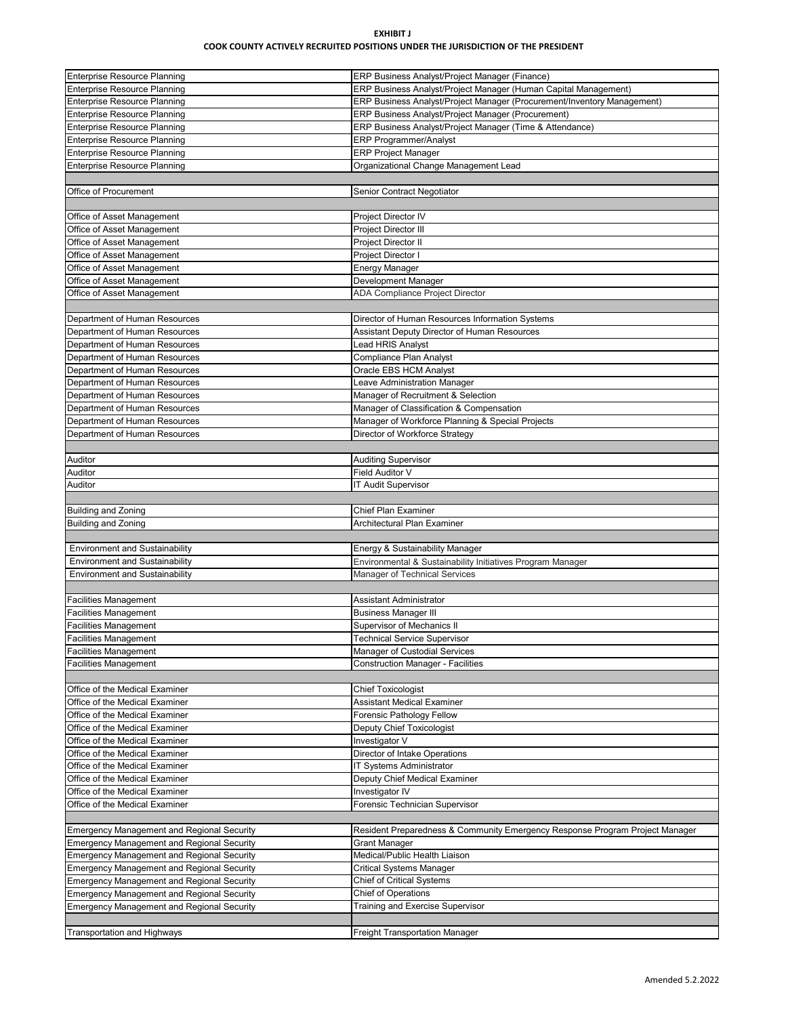## **EXHIBIT J COOK COUNTY ACTIVELY RECRUITED POSITIONS UNDER THE JURISDICTION OF THE PRESIDENT**

| <b>Enterprise Resource Planning</b>               | ERP Business Analyst/Project Manager (Finance)                               |
|---------------------------------------------------|------------------------------------------------------------------------------|
| <b>Enterprise Resource Planning</b>               | ERP Business Analyst/Project Manager (Human Capital Management)              |
| <b>Enterprise Resource Planning</b>               | ERP Business Analyst/Project Manager (Procurement/Inventory Management)      |
| <b>Enterprise Resource Planning</b>               | ERP Business Analyst/Project Manager (Procurement)                           |
| <b>Enterprise Resource Planning</b>               | ERP Business Analyst/Project Manager (Time & Attendance)                     |
|                                                   |                                                                              |
| <b>Enterprise Resource Planning</b>               | <b>ERP Programmer/Analyst</b>                                                |
| <b>Enterprise Resource Planning</b>               | <b>ERP Project Manager</b>                                                   |
| <b>Enterprise Resource Planning</b>               | Organizational Change Management Lead                                        |
|                                                   |                                                                              |
| Office of Procurement                             | Senior Contract Negotiator                                                   |
|                                                   |                                                                              |
| Office of Asset Management                        | Project Director IV                                                          |
|                                                   | Project Director III                                                         |
| Office of Asset Management                        |                                                                              |
| Office of Asset Management                        | Project Director II                                                          |
| Office of Asset Management                        | Project Director I                                                           |
| Office of Asset Management                        | <b>Energy Manager</b>                                                        |
| Office of Asset Management                        | Development Manager                                                          |
| Office of Asset Management                        | ADA Compliance Project Director                                              |
|                                                   |                                                                              |
| Department of Human Resources                     | Director of Human Resources Information Systems                              |
|                                                   |                                                                              |
| Department of Human Resources                     | Assistant Deputy Director of Human Resources                                 |
| Department of Human Resources                     | <b>Lead HRIS Analyst</b>                                                     |
| Department of Human Resources                     | Compliance Plan Analyst                                                      |
| Department of Human Resources                     | Oracle EBS HCM Analyst                                                       |
| Department of Human Resources                     | Leave Administration Manager                                                 |
| Department of Human Resources                     | Manager of Recruitment & Selection                                           |
|                                                   |                                                                              |
| Department of Human Resources                     | Manager of Classification & Compensation                                     |
| Department of Human Resources                     | Manager of Workforce Planning & Special Projects                             |
| Department of Human Resources                     | Director of Workforce Strategy                                               |
|                                                   |                                                                              |
| Auditor                                           | <b>Auditing Supervisor</b>                                                   |
| Auditor                                           | Field Auditor V                                                              |
| Auditor                                           | <b>IT Audit Supervisor</b>                                                   |
|                                                   |                                                                              |
|                                                   |                                                                              |
|                                                   |                                                                              |
| <b>Building and Zoning</b>                        | <b>Chief Plan Examiner</b>                                                   |
| <b>Building and Zoning</b>                        | Architectural Plan Examiner                                                  |
|                                                   |                                                                              |
| <b>Environment and Sustainability</b>             | Energy & Sustainability Manager                                              |
| <b>Environment and Sustainability</b>             | Environmental & Sustainability Initiatives Program Manager                   |
| <b>Environment and Sustainability</b>             | Manager of Technical Services                                                |
|                                                   |                                                                              |
| <b>Facilities Management</b>                      | Assistant Administrator                                                      |
|                                                   |                                                                              |
| <b>Facilities Management</b>                      | <b>Business Manager III</b>                                                  |
| <b>Facilities Management</b>                      | Supervisor of Mechanics II                                                   |
| <b>Facilities Management</b>                      | <b>Technical Service Supervisor</b>                                          |
| <b>Facilities Management</b>                      | Manager of Custodial Services                                                |
| <b>Facilities Management</b>                      | <b>Construction Manager - Facilities</b>                                     |
|                                                   |                                                                              |
| Office of the Medical Examiner                    | Chief Toxicologist                                                           |
| Office of the Medical Examiner                    | <b>Assistant Medical Examiner</b>                                            |
| Office of the Medical Examiner                    |                                                                              |
|                                                   | Forensic Pathology Fellow                                                    |
| Office of the Medical Examiner                    | Deputy Chief Toxicologist                                                    |
| Office of the Medical Examiner                    | Investigator V                                                               |
| Office of the Medical Examiner                    | Director of Intake Operations                                                |
| Office of the Medical Examiner                    | IT Systems Administrator                                                     |
| Office of the Medical Examiner                    | Deputy Chief Medical Examiner                                                |
| Office of the Medical Examiner                    | Investigator IV                                                              |
| Office of the Medical Examiner                    | Forensic Technician Supervisor                                               |
|                                                   |                                                                              |
| <b>Emergency Management and Regional Security</b> | Resident Preparedness & Community Emergency Response Program Project Manager |
| <b>Emergency Management and Regional Security</b> | <b>Grant Manager</b>                                                         |
|                                                   |                                                                              |
| <b>Emergency Management and Regional Security</b> | Medical/Public Health Liaison                                                |
| <b>Emergency Management and Regional Security</b> | <b>Critical Systems Manager</b>                                              |
| <b>Emergency Management and Regional Security</b> | Chief of Critical Systems                                                    |
| <b>Emergency Management and Regional Security</b> | <b>Chief of Operations</b>                                                   |
| <b>Emergency Management and Regional Security</b> | Training and Exercise Supervisor                                             |
|                                                   |                                                                              |